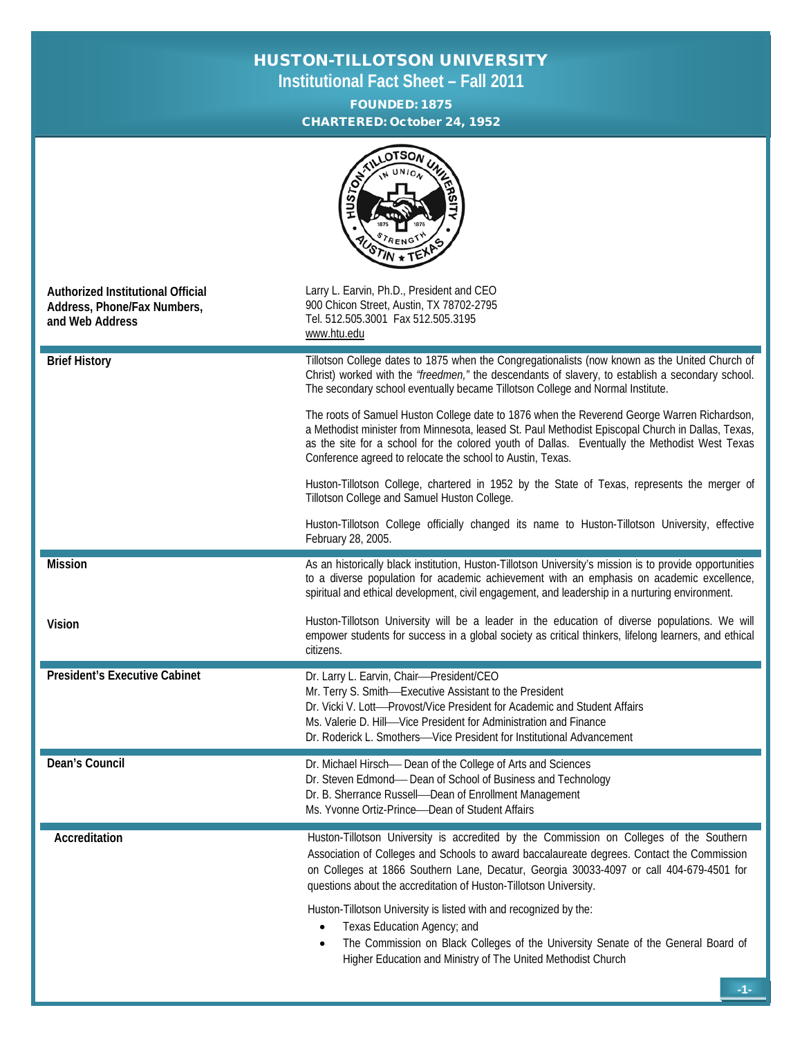## HUSTON-TILLOTSON UNIVERSITY

**Institutional Fact Sheet – Fall 2011**

FOUNDED: 1875 CHARTERED: October 24, 1952

|                                                                                     | LOTSON<br><b>HARRISTITY</b><br><b>HUSTON</b>                                                                                                                                                                                                                                                                                                                    |  |  |  |
|-------------------------------------------------------------------------------------|-----------------------------------------------------------------------------------------------------------------------------------------------------------------------------------------------------------------------------------------------------------------------------------------------------------------------------------------------------------------|--|--|--|
| Authorized Institutional Official<br>Address, Phone/Fax Numbers,<br>and Web Address | Larry L. Earvin, Ph.D., President and CEO<br>900 Chicon Street, Austin, TX 78702-2795<br>Tel. 512.505.3001 Fax 512.505.3195<br>www.htu.edu                                                                                                                                                                                                                      |  |  |  |
| <b>Brief History</b>                                                                | Tillotson College dates to 1875 when the Congregationalists (now known as the United Church of<br>Christ) worked with the "freedmen," the descendants of slavery, to establish a secondary school.<br>The secondary school eventually became Tillotson College and Normal Institute.                                                                            |  |  |  |
|                                                                                     | The roots of Samuel Huston College date to 1876 when the Reverend George Warren Richardson,<br>a Methodist minister from Minnesota, leased St. Paul Methodist Episcopal Church in Dallas, Texas,<br>as the site for a school for the colored youth of Dallas. Eventually the Methodist West Texas<br>Conference agreed to relocate the school to Austin, Texas. |  |  |  |
|                                                                                     | Huston-Tillotson College, chartered in 1952 by the State of Texas, represents the merger of<br>Tillotson College and Samuel Huston College.                                                                                                                                                                                                                     |  |  |  |
|                                                                                     | Huston-Tillotson College officially changed its name to Huston-Tillotson University, effective<br>February 28, 2005.                                                                                                                                                                                                                                            |  |  |  |
| <b>Mission</b>                                                                      | As an historically black institution, Huston-Tillotson University's mission is to provide opportunities<br>to a diverse population for academic achievement with an emphasis on academic excellence,<br>spiritual and ethical development, civil engagement, and leadership in a nurturing environment.                                                         |  |  |  |
| Vision                                                                              | Huston-Tillotson University will be a leader in the education of diverse populations. We will<br>empower students for success in a global society as critical thinkers, lifelong learners, and ethical<br>citizens.                                                                                                                                             |  |  |  |
| <b>President's Executive Cabinet</b>                                                | Dr. Larry L. Earvin, Chair-President/CEO<br>Mr. Terry S. Smith-Executive Assistant to the President<br>Dr. Vicki V. Lott-Provost/Vice President for Academic and Student Affairs<br>Ms. Valerie D. Hill-Vice President for Administration and Finance<br>Dr. Roderick L. Smothers-Vice President for Institutional Advancement                                  |  |  |  |
| Dean's Council                                                                      | Dr. Michael Hirsch-Dean of the College of Arts and Sciences<br>Dr. Steven Edmond- Dean of School of Business and Technology<br>Dr. B. Sherrance Russell-Dean of Enrollment Management<br>Ms. Yvonne Ortiz-Prince-Dean of Student Affairs                                                                                                                        |  |  |  |
| Accreditation                                                                       | Huston-Tillotson University is accredited by the Commission on Colleges of the Southern<br>Association of Colleges and Schools to award baccalaureate degrees. Contact the Commission<br>on Colleges at 1866 Southern Lane, Decatur, Georgia 30033-4097 or call 404-679-4501 for<br>questions about the accreditation of Huston-Tillotson University.           |  |  |  |
|                                                                                     | Huston-Tillotson University is listed with and recognized by the:<br>Texas Education Agency; and<br>The Commission on Black Colleges of the University Senate of the General Board of<br>$\bullet$<br>Higher Education and Ministry of The United Methodist Church                                                                                              |  |  |  |